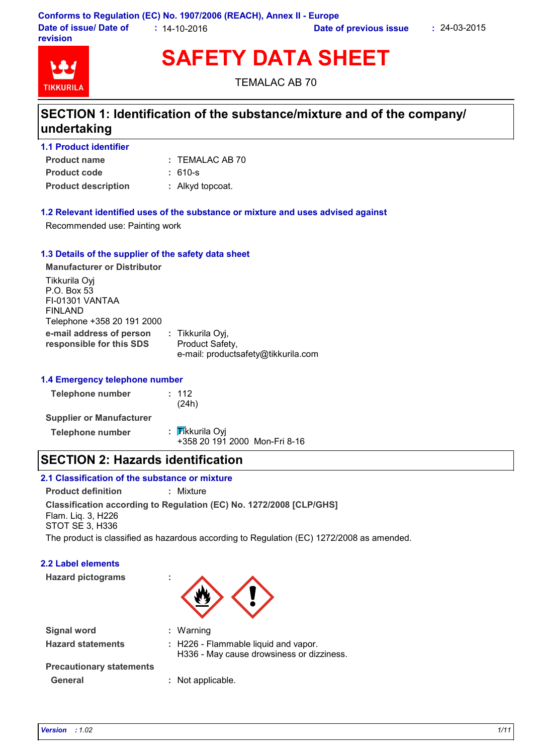

**SAFETY DATA SHEET**

TEMALAC AB 70

## **SECTION 1: Identification of the substance/mixture and of the company/ undertaking**

| 1.1 Product identifier     |                  |
|----------------------------|------------------|
| <b>Product name</b>        | : TEMALAC AB 70  |
| <b>Product code</b>        | : 610-s          |
| <b>Product description</b> | : Alkyd topcoat. |

### **1.2 Relevant identified uses of the substance or mixture and uses advised against**

Recommended use: Painting work

#### **1.3 Details of the supplier of the safety data sheet**

**e-mail address of person responsible for this SDS :** Tikkurila Oyj, Product Safety, e-mail: productsafety@tikkurila.com **Manufacturer or Distributor** Tikkurila Oyj P.O. Box 53 FI-01301 VANTAA FINLAND Telephone +358 20 191 2000

#### **1.4 Emergency telephone number**

| Telephone number                | : 112<br>(24h)                                   |
|---------------------------------|--------------------------------------------------|
| <b>Supplier or Manufacturer</b> |                                                  |
| <b>Telephone number</b>         | : Tikkurila Oyi<br>+358 20 191 2000 Mon-Fri 8-16 |

### **SECTION 2: Hazards identification**

### **2.1 Classification of the substance or mixture**

**Classification according to Regulation (EC) No. 1272/2008 [CLP/GHS] Product definition :** Mixture Flam. Liq. 3, H226 STOT SE 3, H336

The product is classified as hazardous according to Regulation (EC) 1272/2008 as amended.

### **2.2 Label elements**

**Hazard pictograms :**



| <b>Signal word</b>              | : Warning                                                                         |
|---------------------------------|-----------------------------------------------------------------------------------|
| <b>Hazard statements</b>        | : H226 - Flammable liquid and vapor.<br>H336 - May cause drowsiness or dizziness. |
| <b>Precautionary statements</b> |                                                                                   |
| General                         | : Not applicable.                                                                 |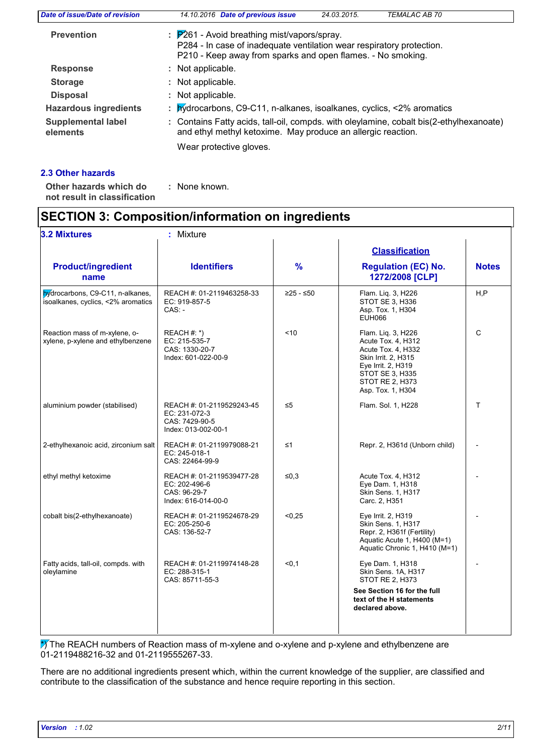| Date of issue/Date of revision        | 14.10.2016 Date of previous issue<br><b>TEMALAC AB 70</b><br>24.03.2015.                                                                                                                       |
|---------------------------------------|------------------------------------------------------------------------------------------------------------------------------------------------------------------------------------------------|
| <b>Prevention</b>                     | $\therefore$ P261 - Avoid breathing mist/vapors/spray.<br>P284 - In case of inadequate ventilation wear respiratory protection.<br>P210 - Keep away from sparks and open flames. - No smoking. |
| <b>Response</b>                       | : Not applicable.                                                                                                                                                                              |
| <b>Storage</b>                        | : Not applicable.                                                                                                                                                                              |
| <b>Disposal</b>                       | : Not applicable.                                                                                                                                                                              |
| <b>Hazardous ingredients</b>          | : bydrocarbons, C9-C11, n-alkanes, isoalkanes, cyclics, <2% aromatics                                                                                                                          |
| <b>Supplemental label</b><br>elements | : Contains Fatty acids, tall-oil, compds. with oleylamine, cobalt bis(2-ethylhexanoate)<br>and ethyl methyl ketoxime. May produce an allergic reaction.                                        |
|                                       | Wear protective gloves.                                                                                                                                                                        |
|                                       |                                                                                                                                                                                                |

### **2.3 Other hazards**

: None known.

**Other hazards which do : not result in classification**

# **SECTION 3: Composition/information on ingredients**

| <b>3.2 Mixtures</b>                                                    | : Mixture                                                                                                                                                                                                                                               |               |                                                                                                                                          |              |
|------------------------------------------------------------------------|---------------------------------------------------------------------------------------------------------------------------------------------------------------------------------------------------------------------------------------------------------|---------------|------------------------------------------------------------------------------------------------------------------------------------------|--------------|
| <b>Product/ingredient</b><br>name                                      | <b>Identifiers</b>                                                                                                                                                                                                                                      | $\frac{9}{6}$ | <b>Classification</b><br><b>Regulation (EC) No.</b><br>1272/2008 [CLP]                                                                   | <b>Notes</b> |
| bydrocarbons, C9-C11, n-alkanes,<br>isoalkanes, cyclics, <2% aromatics | REACH #: 01-2119463258-33<br>EC: 919-857-5<br>$CAS: -$                                                                                                                                                                                                  | $≥25 - ≤50$   | Flam. Lig. 3, H226<br>STOT SE 3, H336<br>Asp. Tox. 1, H304<br><b>EUH066</b>                                                              | H, P         |
| Reaction mass of m-xylene, o-<br>xylene, p-xylene and ethylbenzene     | < 10<br>REACH #: *)<br>Flam. Lig. 3, H226<br>EC: 215-535-7<br>Acute Tox. 4, H312<br>CAS: 1330-20-7<br>Acute Tox. 4, H332<br>Index: 601-022-00-9<br>Skin Irrit. 2, H315<br>Eye Irrit. 2, H319<br>STOT SE 3, H335<br>STOT RE 2, H373<br>Asp. Tox. 1, H304 |               |                                                                                                                                          | $\mathsf{C}$ |
| aluminium powder (stabilised)                                          | REACH #: 01-2119529243-45<br>$\leq 5$<br>EC: 231-072-3<br>CAS: 7429-90-5<br>Index: 013-002-00-1                                                                                                                                                         |               | Flam. Sol. 1, H228                                                                                                                       | T.           |
| 2-ethylhexanoic acid, zirconium salt                                   | $\leq 1$<br>REACH #: 01-2119979088-21<br>Repr. 2, H361d (Unborn child)<br>EC: 245-018-1<br>CAS: 22464-99-9                                                                                                                                              |               |                                                                                                                                          |              |
| ethyl methyl ketoxime                                                  | REACH #: 01-2119539477-28<br>EC: 202-496-6<br>CAS: 96-29-7<br>Index: 616-014-00-0                                                                                                                                                                       | ≤ $0,3$       | Acute Tox. 4, H312<br>Eye Dam. 1, H318<br><b>Skin Sens. 1. H317</b><br>Carc. 2, H351                                                     |              |
| cobalt bis(2-ethylhexanoate)                                           | < 0,25<br>Eye Irrit. 2, H319<br>REACH #: 01-2119524678-29<br>EC: 205-250-6<br>CAS: 136-52-7                                                                                                                                                             |               | Skin Sens. 1, H317<br>Repr. 2, H361f (Fertility)<br>Aquatic Acute 1, H400 (M=1)<br>Aquatic Chronic 1, H410 (M=1)                         |              |
| Fatty acids, tall-oil, compds. with<br>oleylamine                      | REACH #: 01-2119974148-28<br>EC: 288-315-1<br>CAS: 85711-55-3                                                                                                                                                                                           | < 0.1         | Eye Dam. 1, H318<br>Skin Sens, 1A, H317<br>STOT RE 2, H373<br>See Section 16 for the full<br>text of the H statements<br>declared above. |              |

The REACH numbers of Reaction mass of m-xylene and o-xylene and p-xylene and ethylbenzene are 01-2119488216-32 and 01-2119555267-33.

There are no additional ingredients present which, within the current knowledge of the supplier, are classified and contribute to the classification of the substance and hence require reporting in this section.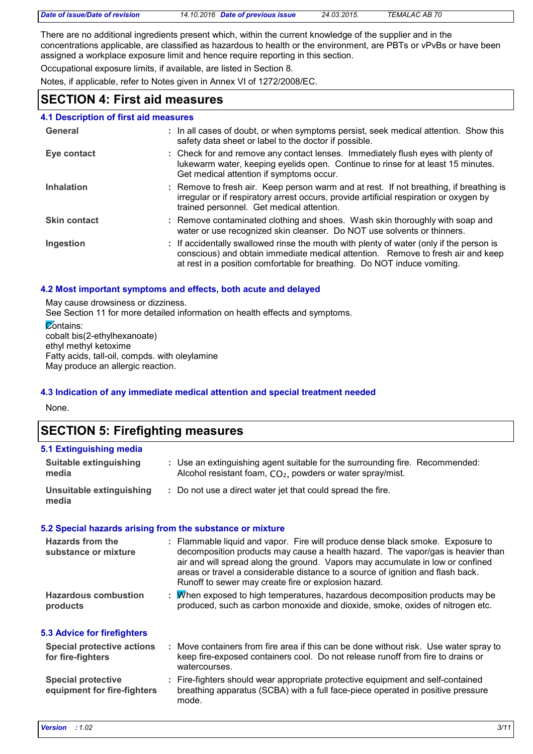| Date of issue/Date of revision | 14.10.2016 Date of previous issue | 24.03.2015. | TEMALAC AB 70 |  |
|--------------------------------|-----------------------------------|-------------|---------------|--|

There are no additional ingredients present which, within the current knowledge of the supplier and in the concentrations applicable, are classified as hazardous to health or the environment, are PBTs or vPvBs or have been assigned a workplace exposure limit and hence require reporting in this section.

Occupational exposure limits, if available, are listed in Section 8.

Notes, if applicable, refer to Notes given in Annex VI of 1272/2008/EC.

### **SECTION 4: First aid measures**

### **4.1 Description of first aid measures**

| General             | : In all cases of doubt, or when symptoms persist, seek medical attention. Show this<br>safety data sheet or label to the doctor if possible.                                                                                                          |
|---------------------|--------------------------------------------------------------------------------------------------------------------------------------------------------------------------------------------------------------------------------------------------------|
| Eye contact         | : Check for and remove any contact lenses. Immediately flush eyes with plenty of<br>lukewarm water, keeping eyelids open. Continue to rinse for at least 15 minutes.<br>Get medical attention if symptoms occur.                                       |
| <b>Inhalation</b>   | : Remove to fresh air. Keep person warm and at rest. If not breathing, if breathing is<br>irregular or if respiratory arrest occurs, provide artificial respiration or oxygen by<br>trained personnel. Get medical attention.                          |
| <b>Skin contact</b> | : Remove contaminated clothing and shoes. Wash skin thoroughly with soap and<br>water or use recognized skin cleanser. Do NOT use solvents or thinners.                                                                                                |
| Ingestion           | : If accidentally swallowed rinse the mouth with plenty of water (only if the person is<br>conscious) and obtain immediate medical attention. Remove to fresh air and keep<br>at rest in a position comfortable for breathing. Do NOT induce vomiting. |

#### **4.2 Most important symptoms and effects, both acute and delayed**

May cause drowsiness or dizziness.

See Section 11 for more detailed information on health effects and symptoms.

**Contains:** cobalt bis(2-ethylhexanoate) ethyl methyl ketoxime Fatty acids, tall-oil, compds. with oleylamine May produce an allergic reaction.

### **4.3 Indication of any immediate medical attention and special treatment needed**

None.

### **SECTION 5: Firefighting measures**

| 5.1 Extinguishing media           |                                                                                                                                                        |
|-----------------------------------|--------------------------------------------------------------------------------------------------------------------------------------------------------|
| Suitable extinguishing<br>media   | : Use an extinguishing agent suitable for the surrounding fire. Recommended:<br>Alcohol resistant foam, CO <sub>2</sub> , powders or water spray/mist. |
| Unsuitable extinguishing<br>media | : Do not use a direct water jet that could spread the fire.                                                                                            |

### **5.2 Special hazards arising from the substance or mixture**

| : Flammable liquid and vapor. Fire will produce dense black smoke. Exposure to<br>decomposition products may cause a health hazard. The vapor/gas is heavier than<br>air and will spread along the ground. Vapors may accumulate in low or confined<br>areas or travel a considerable distance to a source of ignition and flash back.<br>Runoff to sewer may create fire or explosion hazard. |
|------------------------------------------------------------------------------------------------------------------------------------------------------------------------------------------------------------------------------------------------------------------------------------------------------------------------------------------------------------------------------------------------|
| : M/hen exposed to high temperatures, hazardous decomposition products may be<br>produced, such as carbon monoxide and dioxide, smoke, oxides of nitrogen etc.                                                                                                                                                                                                                                 |
|                                                                                                                                                                                                                                                                                                                                                                                                |
| : Move containers from fire area if this can be done without risk. Use water spray to<br>keep fire-exposed containers cool. Do not release runoff from fire to drains or<br>watercourses.                                                                                                                                                                                                      |
| : Fire-fighters should wear appropriate protective equipment and self-contained<br>breathing apparatus (SCBA) with a full face-piece operated in positive pressure<br>mode.                                                                                                                                                                                                                    |
|                                                                                                                                                                                                                                                                                                                                                                                                |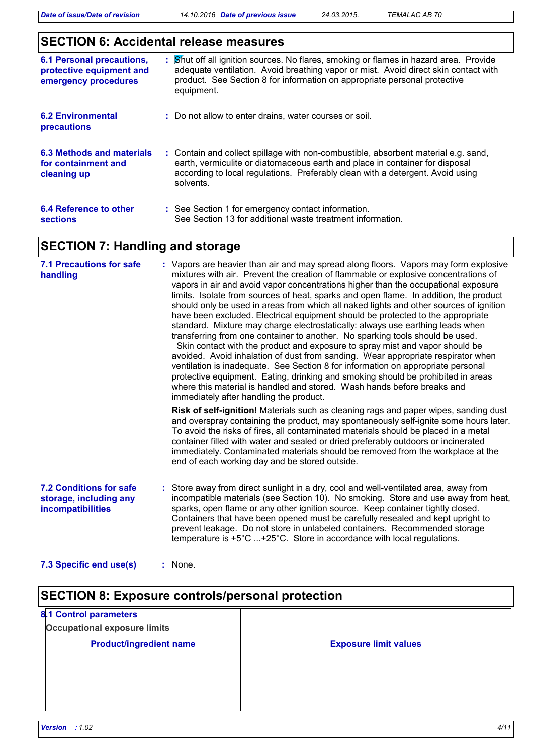### **SECTION 6: Accidental release measures**

| <b>6.1 Personal precautions,</b><br>protective equipment and<br>emergency procedures | : Shut off all ignition sources. No flares, smoking or flames in hazard area. Provide<br>adequate ventilation. Avoid breathing vapor or mist. Avoid direct skin contact with<br>product. See Section 8 for information on appropriate personal protective<br>equipment. |
|--------------------------------------------------------------------------------------|-------------------------------------------------------------------------------------------------------------------------------------------------------------------------------------------------------------------------------------------------------------------------|
| <b>6.2 Environmental</b><br>precautions                                              | : Do not allow to enter drains, water courses or soil.                                                                                                                                                                                                                  |
| 6.3 Methods and materials<br>for containment and<br>cleaning up                      | : Contain and collect spillage with non-combustible, absorbent material e.g. sand,<br>earth, vermiculite or diatomaceous earth and place in container for disposal<br>according to local regulations. Preferably clean with a detergent. Avoid using<br>solvents.       |
| 6.4 Reference to other<br><b>sections</b>                                            | : See Section 1 for emergency contact information.<br>See Section 13 for additional waste treatment information.                                                                                                                                                        |

# **SECTION 7: Handling and storage**

| <b>7.1 Precautions for safe</b><br>handling                                   | : Vapors are heavier than air and may spread along floors. Vapors may form explosive<br>mixtures with air. Prevent the creation of flammable or explosive concentrations of<br>vapors in air and avoid vapor concentrations higher than the occupational exposure<br>limits. Isolate from sources of heat, sparks and open flame. In addition, the product<br>should only be used in areas from which all naked lights and other sources of ignition<br>have been excluded. Electrical equipment should be protected to the appropriate<br>standard. Mixture may charge electrostatically: always use earthing leads when<br>transferring from one container to another. No sparking tools should be used.<br>Skin contact with the product and exposure to spray mist and vapor should be<br>avoided. Avoid inhalation of dust from sanding. Wear appropriate respirator when<br>ventilation is inadequate. See Section 8 for information on appropriate personal<br>protective equipment. Eating, drinking and smoking should be prohibited in areas<br>where this material is handled and stored. Wash hands before breaks and<br>immediately after handling the product. |
|-------------------------------------------------------------------------------|------------------------------------------------------------------------------------------------------------------------------------------------------------------------------------------------------------------------------------------------------------------------------------------------------------------------------------------------------------------------------------------------------------------------------------------------------------------------------------------------------------------------------------------------------------------------------------------------------------------------------------------------------------------------------------------------------------------------------------------------------------------------------------------------------------------------------------------------------------------------------------------------------------------------------------------------------------------------------------------------------------------------------------------------------------------------------------------------------------------------------------------------------------------------------|
|                                                                               | Risk of self-ignition! Materials such as cleaning rags and paper wipes, sanding dust<br>and overspray containing the product, may spontaneously self-ignite some hours later.<br>To avoid the risks of fires, all contaminated materials should be placed in a metal<br>container filled with water and sealed or dried preferably outdoors or incinerated<br>immediately. Contaminated materials should be removed from the workplace at the<br>end of each working day and be stored outside.                                                                                                                                                                                                                                                                                                                                                                                                                                                                                                                                                                                                                                                                              |
| <b>7.2 Conditions for safe</b><br>storage, including any<br>incompatibilities | : Store away from direct sunlight in a dry, cool and well-ventilated area, away from<br>incompatible materials (see Section 10). No smoking. Store and use away from heat,<br>sparks, open flame or any other ignition source. Keep container tightly closed.<br>Containers that have been opened must be carefully resealed and kept upright to<br>prevent leakage. Do not store in unlabeled containers. Recommended storage<br>temperature is +5°C +25°C. Store in accordance with local regulations.                                                                                                                                                                                                                                                                                                                                                                                                                                                                                                                                                                                                                                                                     |

```
7.3 Specific end use(s)
       :
```
# **SECTION 8: Exposure controls/personal protection**

| <b>8.1 Control parameters</b>       |                              |
|-------------------------------------|------------------------------|
| <b>Occupational exposure limits</b> |                              |
| <b>Product/ingredient name</b>      | <b>Exposure limit values</b> |
|                                     |                              |
|                                     |                              |
|                                     |                              |
|                                     |                              |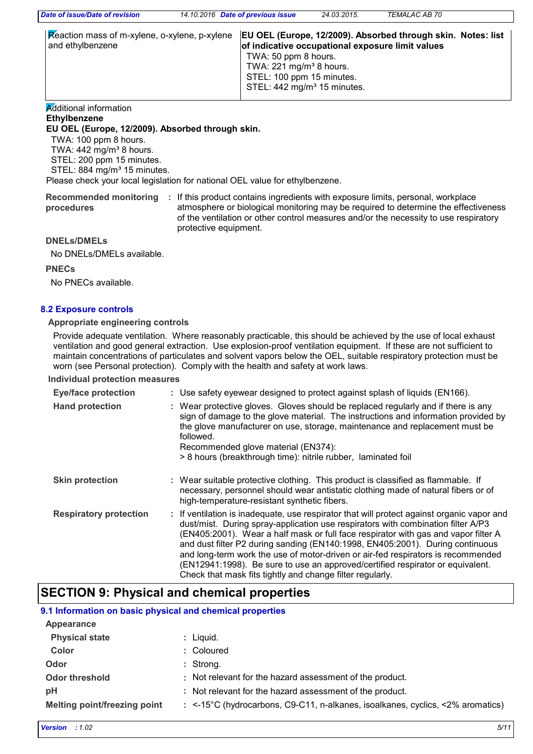| and ethylbenzene | Reaction mass of m-xylene, o-xylene, p-xylene  EU OEL (Europe, 12/2009). Absorbed through skin. Notes: list<br>of indicative occupational exposure limit values |
|------------------|-----------------------------------------------------------------------------------------------------------------------------------------------------------------|
|                  | TWA: 50 ppm 8 hours.<br>TWA: $221 \text{ mg/m}^3$ 8 hours.<br>STEL: 100 ppm 15 minutes.<br>STEL: 442 mg/m <sup>3</sup> 15 minutes.                              |

### **Additional information**

**Ethylbenzene**

**EU OEL (Europe, 12/2009). Absorbed through skin.**

TWA: 100 ppm 8 hours.

TWA:  $442$  mg/m<sup>3</sup> 8 hours.

 STEL: 200 ppm 15 minutes. STEL: 884 mg/m<sup>3</sup> 15 minutes.

Please check your local legislation for national OEL value for ethylbenzene.

Recommended monitoring : If this product contains ingredients with exposure limits, personal, workplace **procedures** atmosphere or biological monitoring may be required to determine the effectiveness of the ventilation or other control measures and/or the necessity to use respiratory protective equipment.

**DNELs/DMELs**

No DNELs/DMELs available.

**PNECs**

No PNECs available.

### **8.2 Exposure controls**

#### **Appropriate engineering controls**

Provide adequate ventilation. Where reasonably practicable, this should be achieved by the use of local exhaust ventilation and good general extraction. Use explosion-proof ventilation equipment. If these are not sufficient to maintain concentrations of particulates and solvent vapors below the OEL, suitable respiratory protection must be worn (see Personal protection). Comply with the health and safety at work laws.

#### **Individual protection measures**

| <b>Eye/face protection</b>    | : Use safety eyewear designed to protect against splash of liquids (EN166).                                                                                                                                                                                                                                                                                                                                                                                                                                                                                                              |
|-------------------------------|------------------------------------------------------------------------------------------------------------------------------------------------------------------------------------------------------------------------------------------------------------------------------------------------------------------------------------------------------------------------------------------------------------------------------------------------------------------------------------------------------------------------------------------------------------------------------------------|
| <b>Hand protection</b>        | : Wear protective gloves. Gloves should be replaced regularly and if there is any<br>sign of damage to the glove material. The instructions and information provided by<br>the glove manufacturer on use, storage, maintenance and replacement must be<br>followed.<br>Recommended glove material (EN374):<br>> 8 hours (breakthrough time): nitrile rubber, laminated foil                                                                                                                                                                                                              |
| <b>Skin protection</b>        | : Wear suitable protective clothing. This product is classified as flammable. If<br>necessary, personnel should wear antistatic clothing made of natural fibers or of<br>high-temperature-resistant synthetic fibers.                                                                                                                                                                                                                                                                                                                                                                    |
| <b>Respiratory protection</b> | : If ventilation is inadequate, use respirator that will protect against organic vapor and<br>dust/mist. During spray-application use respirators with combination filter A/P3<br>(EN405:2001). Wear a half mask or full face respirator with gas and vapor filter A<br>and dust filter P2 during sanding (EN140:1998, EN405:2001). During continuous<br>and long-term work the use of motor-driven or air-fed respirators is recommended<br>(EN12941:1998). Be sure to use an approved/certified respirator or equivalent.<br>Check that mask fits tightly and change filter regularly. |

### **SECTION 9: Physical and chemical properties**

### **9.1 Information on basic physical and chemical properties**

| Appearance                   |                                                                                          |
|------------------------------|------------------------------------------------------------------------------------------|
| <b>Physical state</b>        | $:$ Liquid.                                                                              |
| Color                        | : Coloured                                                                               |
| Odor                         | $:$ Strong.                                                                              |
| <b>Odor threshold</b>        | : Not relevant for the hazard assessment of the product.                                 |
| pH                           | : Not relevant for the hazard assessment of the product.                                 |
| Melting point/freezing point | : $\le$ -15°C (hydrocarbons, C9-C11, n-alkanes, isoalkanes, cyclics, $\le$ 2% aromatics) |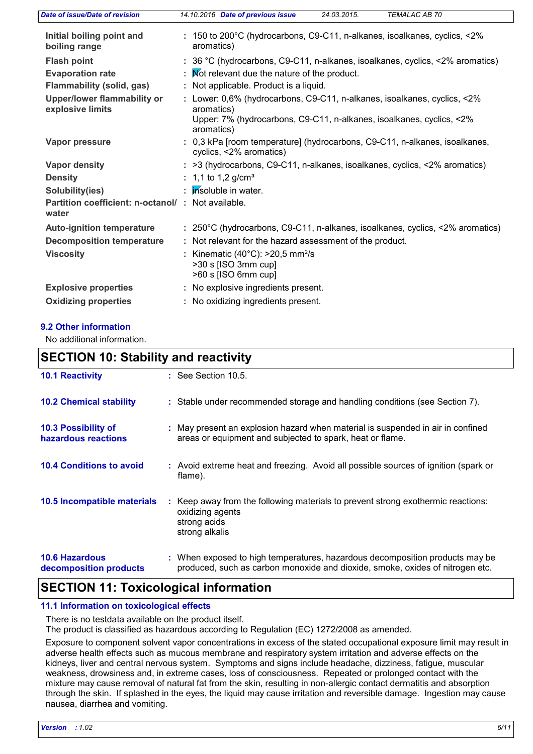| Date of issue/Date of revision                              | <b>TEMALAC AB 70</b><br>14.10.2016 Date of previous issue<br>24.03.2015.                                                                                                     |  |  |
|-------------------------------------------------------------|------------------------------------------------------------------------------------------------------------------------------------------------------------------------------|--|--|
| Initial boiling point and<br>boiling range                  | : 150 to 200°C (hydrocarbons, C9-C11, n-alkanes, isoalkanes, cyclics, <2%<br>aromatics)                                                                                      |  |  |
| <b>Flash point</b>                                          | : 36 °C (hydrocarbons, C9-C11, n-alkanes, isoalkanes, cyclics, <2% aromatics)                                                                                                |  |  |
| <b>Evaporation rate</b>                                     | : Mot relevant due the nature of the product.                                                                                                                                |  |  |
| <b>Flammability (solid, gas)</b>                            | : Not applicable. Product is a liquid.                                                                                                                                       |  |  |
| Upper/lower flammability or<br>explosive limits             | : Lower: 0,6% (hydrocarbons, C9-C11, n-alkanes, isoalkanes, cyclics, <2%<br>aromatics)<br>Upper: 7% (hydrocarbons, C9-C11, n-alkanes, isoalkanes, cyclics, <2%<br>aromatics) |  |  |
| Vapor pressure                                              | : 0,3 kPa [room temperature] (hydrocarbons, C9-C11, n-alkanes, isoalkanes,<br>cyclics, <2% aromatics)                                                                        |  |  |
| <b>Vapor density</b>                                        | : >3 (hydrocarbons, C9-C11, n-alkanes, isoalkanes, cyclics, <2% aromatics)                                                                                                   |  |  |
| <b>Density</b>                                              | : 1,1 to 1,2 g/cm <sup>3</sup>                                                                                                                                               |  |  |
| Solubility(ies)                                             | : <i>insoluble in water.</i>                                                                                                                                                 |  |  |
| Partition coefficient: n-octanol/ : Not available.<br>water |                                                                                                                                                                              |  |  |
| <b>Auto-ignition temperature</b>                            | : 250°C (hydrocarbons, C9-C11, n-alkanes, isoalkanes, cyclics, <2% aromatics)                                                                                                |  |  |
| <b>Decomposition temperature</b>                            | : Not relevant for the hazard assessment of the product.                                                                                                                     |  |  |
| <b>Viscosity</b>                                            | Kinematic (40 $^{\circ}$ C): >20,5 mm <sup>2</sup> /s<br>>30 s [ISO 3mm cup]<br>>60 s [ISO 6mm cup]                                                                          |  |  |
| <b>Explosive properties</b>                                 | : No explosive ingredients present.                                                                                                                                          |  |  |
| <b>Oxidizing properties</b>                                 | No oxidizing ingredients present.                                                                                                                                            |  |  |
|                                                             |                                                                                                                                                                              |  |  |

### **9.2 Other information**

No additional information.

| <b>SECTION 10: Stability and reactivity</b>     |                                                                                                                                                               |  |
|-------------------------------------------------|---------------------------------------------------------------------------------------------------------------------------------------------------------------|--|
| <b>10.1 Reactivity</b>                          | $\therefore$ See Section 10.5.                                                                                                                                |  |
| <b>10.2 Chemical stability</b>                  | : Stable under recommended storage and handling conditions (see Section 7).                                                                                   |  |
| 10.3 Possibility of<br>hazardous reactions      | : May present an explosion hazard when material is suspended in air in confined<br>areas or equipment and subjected to spark, heat or flame.                  |  |
| <b>10.4 Conditions to avoid</b>                 | : Avoid extreme heat and freezing. Avoid all possible sources of ignition (spark or<br>flame).                                                                |  |
| 10.5 Incompatible materials                     | : Keep away from the following materials to prevent strong exothermic reactions:<br>oxidizing agents<br>strong acids<br>strong alkalis                        |  |
| <b>10.6 Hazardous</b><br>decomposition products | : When exposed to high temperatures, hazardous decomposition products may be<br>produced, such as carbon monoxide and dioxide, smoke, oxides of nitrogen etc. |  |

### **SECTION 11: Toxicological information**

### **11.1 Information on toxicological effects**

There is no testdata available on the product itself.

The product is classified as hazardous according to Regulation (EC) 1272/2008 as amended.

Exposure to component solvent vapor concentrations in excess of the stated occupational exposure limit may result in adverse health effects such as mucous membrane and respiratory system irritation and adverse effects on the kidneys, liver and central nervous system. Symptoms and signs include headache, dizziness, fatigue, muscular weakness, drowsiness and, in extreme cases, loss of consciousness. Repeated or prolonged contact with the mixture may cause removal of natural fat from the skin, resulting in non-allergic contact dermatitis and absorption through the skin. If splashed in the eyes, the liquid may cause irritation and reversible damage. Ingestion may cause nausea, diarrhea and vomiting.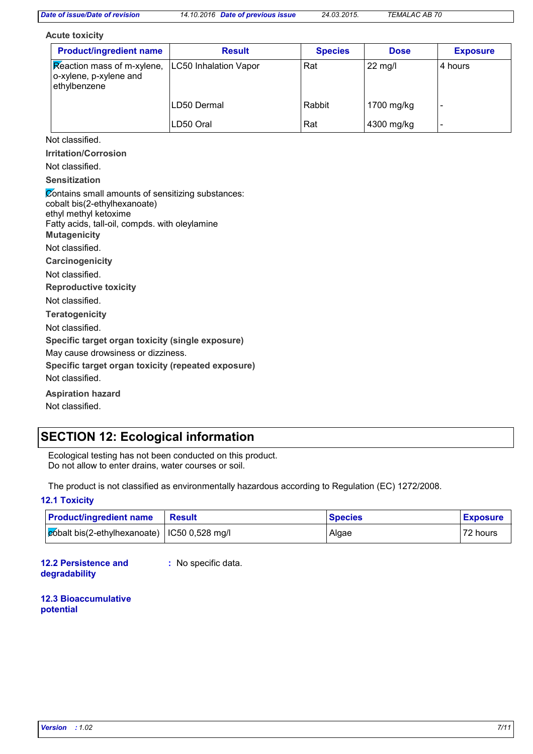**Acute toxicity**

| <b>Product/ingredient name</b>                                       | <b>Result</b>         | <b>Species</b> | <b>Dose</b>       | <b>Exposure</b> |
|----------------------------------------------------------------------|-----------------------|----------------|-------------------|-----------------|
| Reaction mass of m-xylene,<br>o-xylene, p-xylene and<br>ethylbenzene | LC50 Inhalation Vapor | Rat            | $22 \text{ mg/l}$ | 4 hours         |
|                                                                      | LD50 Dermal           | Rabbit         | 1700 mg/kg        | -               |
|                                                                      | LD50 Oral             | Rat            | 4300 mg/kg        |                 |

Not classified.

**Irritation/Corrosion**

Not classified.

### **Sensitization**

**Carcinogenicity Mutagenicity Teratogenicity Reproductive toxicity Specific target organ toxicity (single exposure) Specific target organ toxicity (repeated exposure) Aspiration hazard** Not classified. Not classified. Not classified. Not classified. Contains small amounts of sensitizing substances: cobalt bis(2-ethylhexanoate) ethyl methyl ketoxime Fatty acids, tall-oil, compds. with oleylamine May cause drowsiness or dizziness. Not classified.

### Not classified.

### **SECTION 12: Ecological information**

Ecological testing has not been conducted on this product. Do not allow to enter drains, water courses or soil.

The product is not classified as environmentally hazardous according to Regulation (EC) 1272/2008.

#### **12.1 Toxicity**

| <b>Product/ingredient name</b>                     | <b>Result</b> | <b>Species</b> | <b>Exposure</b> |
|----------------------------------------------------|---------------|----------------|-----------------|
| $ $ cóbalt bis(2-ethylhexanoate)   IC50 0,528 mg/l |               | Algae          | 72 hours        |

**12.2 Persistence and degradability**

**:** No specific data.

**12.3 Bioaccumulative potential**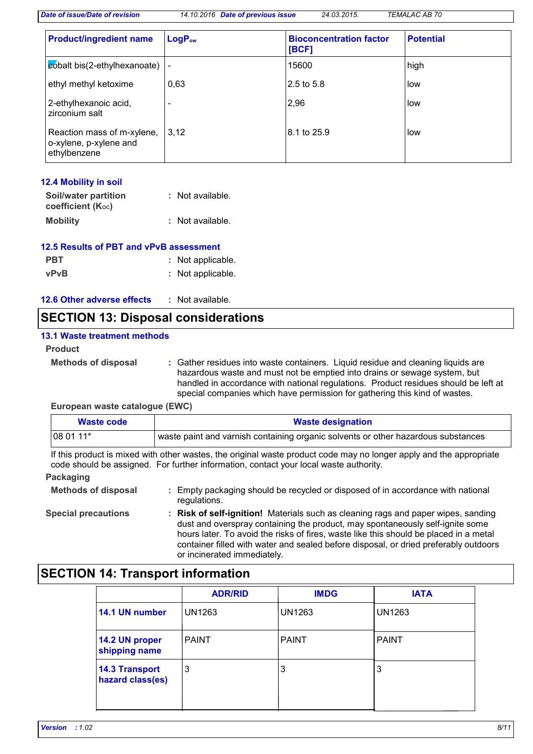**LogP**<sub>ow</sub> **Bioconcentration factor [BCF] Potential Product/ingredient name cobalt bis(2-ethylhexanoate)** |- 15600 high ethyl methyl ketoxime  $\Big| 0.63 \Big| 2.5 \text{ to } 5.8 \Big|$  low 2-ethylhexanoic acid, 2-ethylhexanoic acid, the control of the control of the control of the control of the control of the control of the control of the control of the control of the control of the control of the control of the control of the c Reaction mass of m-xylene,  $|3,12\rangle$ o-xylene, p-xylene and ethylbenzene 8.1 to 25.9 **low** 

#### **Mobility :** Not available. **12.4 Mobility in soil Soil/water partition coefficient (KOC) :** Not available.

| 12.5 Results of PBT and vPvB assessment |                   |  |  |
|-----------------------------------------|-------------------|--|--|
| <b>PBT</b>                              | : Not applicable. |  |  |
| <b>vPvB</b>                             | : Not applicable. |  |  |

| 12.6 Other adverse effects |  | Not available. |
|----------------------------|--|----------------|
|                            |  |                |

### **SECTION 13: Disposal considerations**

### **13.1 Waste treatment methods**

#### **Product**

**Methods of disposal :**

Gather residues into waste containers. Liquid residue and cleaning liquids are hazardous waste and must not be emptied into drains or sewage system, but handled in accordance with national regulations. Product residues should be left at special companies which have permission for gathering this kind of wastes.

**European waste catalogue (EWC)**

| <b>Waste code</b> | <b>Waste designation</b>                                                          |  |
|-------------------|-----------------------------------------------------------------------------------|--|
| $1080111*$        | waste paint and varnish containing organic solvents or other hazardous substances |  |

If this product is mixed with other wastes, the original waste product code may no longer apply and the appropriate code should be assigned. For further information, contact your local waste authority.

### **Packaging**

**Methods of disposal :** Empty packaging should be recycled or disposed of in accordance with national regulations.

**Special precautions : Risk of self-ignition!** Materials such as cleaning rags and paper wipes, sanding dust and overspray containing the product, may spontaneously self-ignite some hours later. To avoid the risks of fires, waste like this should be placed in a metal container filled with water and sealed before disposal, or dried preferably outdoors or incinerated immediately.

### **SECTION 14: Transport information**

|                                           | <b>ADR/RID</b> | <b>IMDG</b>   | <b>IATA</b>   |
|-------------------------------------------|----------------|---------------|---------------|
| 14.1 UN number                            | <b>UN1263</b>  | <b>UN1263</b> | <b>UN1263</b> |
| 14.2 UN proper<br>shipping name           | <b>PAINT</b>   | <b>PAINT</b>  | <b>PAINT</b>  |
| <b>14.3 Transport</b><br>hazard class(es) | 3              | 3             | 3             |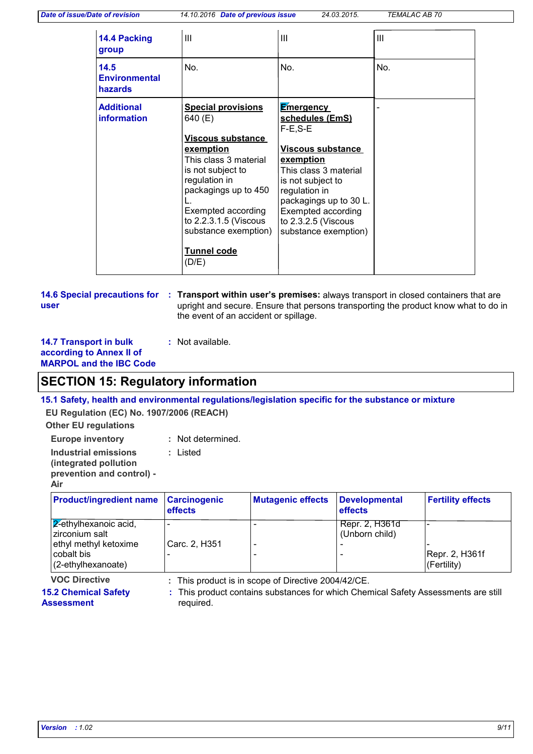| 14.4 Packing<br>group                   | $\mathbf{III}$                                                                                                                                                                                                                                                      | Ш                                                                                                                                                                                                                                                                | $\mathbf{III}$ |
|-----------------------------------------|---------------------------------------------------------------------------------------------------------------------------------------------------------------------------------------------------------------------------------------------------------------------|------------------------------------------------------------------------------------------------------------------------------------------------------------------------------------------------------------------------------------------------------------------|----------------|
| 14.5<br><b>Environmental</b><br>hazards | No.                                                                                                                                                                                                                                                                 | No.                                                                                                                                                                                                                                                              | No.            |
| <b>Additional</b><br>information        | <b>Special provisions</b><br>640 (E)<br>Viscous substance<br>exemption<br>This class 3 material<br>is not subject to<br>regulation in<br>packagings up to 450<br>Exempted according<br>to 2.2.3.1.5 (Viscous<br>substance exemption)<br><b>Tunnel code</b><br>(D/E) | <b>Emergency</b><br>schedules (EmS)<br>$F-E.S-E$<br><b>Viscous substance</b><br><u>exemption</u><br>This class 3 material<br>is not subject to<br>regulation in<br>packagings up to 30 L.<br>Exempted according<br>to $2.3.2.5$ (Viscous<br>substance exemption) |                |

#### **14.6 Special precautions for : Transport within user's premises: always transport in closed containers that are user** upright and secure. Ensure that persons transporting the product know what to do in the event of an accident or spillage.

| <b>14.7 Transport in bulk</b>  | : Not available. |
|--------------------------------|------------------|
| according to Annex II of       |                  |
| <b>MARPOL and the IBC Code</b> |                  |

### **SECTION 15: Regulatory information**

### **15.1 Safety, health and environmental regulations/legislation specific for the substance or mixture**

**EU Regulation (EC) No. 1907/2006 (REACH)**

**Other EU regulations**

**Europe inventory :** Not determined.

**Industrial emissions :** Listed

**(integrated pollution prevention and control) -**

| ١ı<br>ı | J.<br>n |  |  |  |  |  |  |  |  |
|---------|---------|--|--|--|--|--|--|--|--|
|---------|---------|--|--|--|--|--|--|--|--|

| <b>Product/ingredient name</b>                            | <b>Carcinogenic</b><br>effects | <b>Mutagenic effects</b> | Developmental<br><b>effects</b>  | <b>Fertility effects</b>          |
|-----------------------------------------------------------|--------------------------------|--------------------------|----------------------------------|-----------------------------------|
| 2-ethylhexanoic acid,<br>zirconium salt                   |                                |                          | Repr. 2, H361d<br>(Unborn child) |                                   |
| ethyl methyl ketoxime<br>cobalt bis<br>(2-ethylhexanoate) | Carc. 2, H351                  |                          |                                  | Repr. 2, H361f<br>$ $ (Fertility) |

**VOC Directive :** This product is in scope of Directive 2004/42/CE.

**15.2 Chemical Safety** 

This product contains substances for which Chemical Safety Assessments are still **:**

**Assessment** required.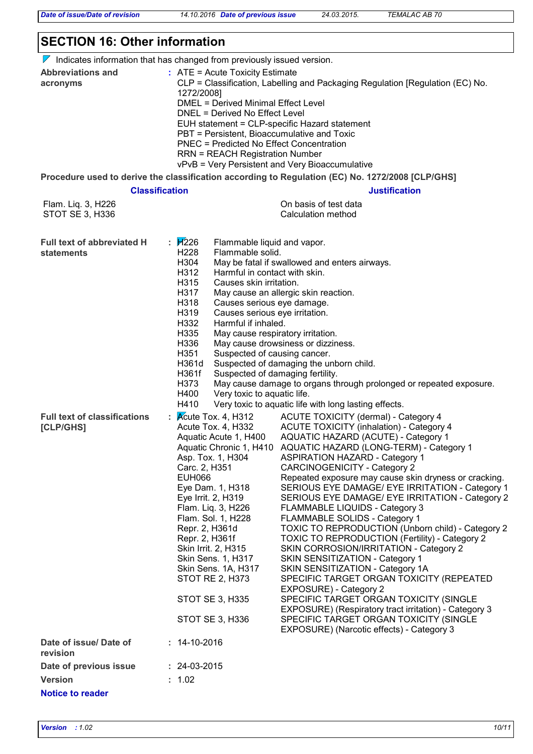### **SECTION 16: Other information**

 $\nabla$  Indicates information that has changed from previously issued version.

|                                                        | r indicates information that has changed non-previously issued version.                                                                                                                                                                                                                                                                                                                                                                                                                                                                                                                                                                                                                                                                                                                                                                                                                                                                                                                                                                                                                                                                                                                                                                                                                                                                                                                                                          |
|--------------------------------------------------------|----------------------------------------------------------------------------------------------------------------------------------------------------------------------------------------------------------------------------------------------------------------------------------------------------------------------------------------------------------------------------------------------------------------------------------------------------------------------------------------------------------------------------------------------------------------------------------------------------------------------------------------------------------------------------------------------------------------------------------------------------------------------------------------------------------------------------------------------------------------------------------------------------------------------------------------------------------------------------------------------------------------------------------------------------------------------------------------------------------------------------------------------------------------------------------------------------------------------------------------------------------------------------------------------------------------------------------------------------------------------------------------------------------------------------------|
| <b>Abbreviations and</b><br>acronyms                   | $:$ ATE = Acute Toxicity Estimate<br>CLP = Classification, Labelling and Packaging Regulation [Regulation (EC) No.<br>1272/2008]<br><b>DMEL = Derived Minimal Effect Level</b><br>DNEL = Derived No Effect Level<br>EUH statement = CLP-specific Hazard statement<br>PBT = Persistent, Bioaccumulative and Toxic<br><b>PNEC = Predicted No Effect Concentration</b><br><b>RRN = REACH Registration Number</b><br>vPvB = Very Persistent and Very Bioaccumulative                                                                                                                                                                                                                                                                                                                                                                                                                                                                                                                                                                                                                                                                                                                                                                                                                                                                                                                                                                 |
|                                                        | Procedure used to derive the classification according to Regulation (EC) No. 1272/2008 [CLP/GHS]                                                                                                                                                                                                                                                                                                                                                                                                                                                                                                                                                                                                                                                                                                                                                                                                                                                                                                                                                                                                                                                                                                                                                                                                                                                                                                                                 |
|                                                        | <b>Classification</b><br><b>Justification</b>                                                                                                                                                                                                                                                                                                                                                                                                                                                                                                                                                                                                                                                                                                                                                                                                                                                                                                                                                                                                                                                                                                                                                                                                                                                                                                                                                                                    |
| Flam. Liq. 3, H226<br>STOT SE 3, H336                  | On basis of test data<br>Calculation method                                                                                                                                                                                                                                                                                                                                                                                                                                                                                                                                                                                                                                                                                                                                                                                                                                                                                                                                                                                                                                                                                                                                                                                                                                                                                                                                                                                      |
| <b>Full text of abbreviated H</b><br><b>statements</b> | $\mathbf{H}$ 226<br>Flammable liquid and vapor.<br>H <sub>228</sub><br>Flammable solid.<br>H304<br>May be fatal if swallowed and enters airways.<br>H312<br>Harmful in contact with skin.<br>H315<br>Causes skin irritation.<br>H317<br>May cause an allergic skin reaction.<br>H318<br>Causes serious eye damage.<br>H319<br>Causes serious eye irritation.<br>H332<br>Harmful if inhaled.<br>H335<br>May cause respiratory irritation.<br>H336<br>May cause drowsiness or dizziness.<br>H351<br>Suspected of causing cancer.<br>Suspected of damaging the unborn child.<br>H361d<br>H361f<br>Suspected of damaging fertility.<br>May cause damage to organs through prolonged or repeated exposure.<br>H373<br>H400<br>Very toxic to aquatic life.<br>H410<br>Very toxic to aquatic life with long lasting effects.                                                                                                                                                                                                                                                                                                                                                                                                                                                                                                                                                                                                            |
| <b>Full text of classifications</b><br>[CLP/GHS]       | : $\cancel{\text{Acute}}$ Tox. 4, H312<br>ACUTE TOXICITY (dermal) - Category 4<br>Acute Tox. 4, H332<br><b>ACUTE TOXICITY (inhalation) - Category 4</b><br>AQUATIC HAZARD (ACUTE) - Category 1<br>Aquatic Acute 1, H400<br>Aquatic Chronic 1, H410 AQUATIC HAZARD (LONG-TERM) - Category 1<br><b>ASPIRATION HAZARD - Category 1</b><br>Asp. Tox. 1, H304<br><b>CARCINOGENICITY - Category 2</b><br>Carc. 2, H351<br>Repeated exposure may cause skin dryness or cracking.<br><b>EUH066</b><br>SERIOUS EYE DAMAGE/ EYE IRRITATION - Category 1<br>Eye Dam. 1, H318<br>Eye Irrit. 2, H319<br>SERIOUS EYE DAMAGE/ EYE IRRITATION - Category 2<br>Flam. Liq. 3, H226<br><b>FLAMMABLE LIQUIDS - Category 3</b><br>Flam. Sol. 1, H228<br>FLAMMABLE SOLIDS - Category 1<br>TOXIC TO REPRODUCTION (Unborn child) - Category 2<br>Repr. 2, H361d<br>Repr. 2, H361f<br><b>TOXIC TO REPRODUCTION (Fertility) - Category 2</b><br>Skin Irrit. 2, H315<br>SKIN CORROSION/IRRITATION - Category 2<br>SKIN SENSITIZATION - Category 1<br>Skin Sens. 1, H317<br>SKIN SENSITIZATION - Category 1A<br>Skin Sens. 1A, H317<br>STOT RE 2, H373<br>SPECIFIC TARGET ORGAN TOXICITY (REPEATED<br>EXPOSURE) - Category 2<br>STOT SE 3, H335<br>SPECIFIC TARGET ORGAN TOXICITY (SINGLE<br>EXPOSURE) (Respiratory tract irritation) - Category 3<br>STOT SE 3, H336<br>SPECIFIC TARGET ORGAN TOXICITY (SINGLE<br>EXPOSURE) (Narcotic effects) - Category 3 |
| Date of issue/Date of<br>revision                      | $: 14-10-2016$                                                                                                                                                                                                                                                                                                                                                                                                                                                                                                                                                                                                                                                                                                                                                                                                                                                                                                                                                                                                                                                                                                                                                                                                                                                                                                                                                                                                                   |
| Date of previous issue                                 | $: 24-03-2015$                                                                                                                                                                                                                                                                                                                                                                                                                                                                                                                                                                                                                                                                                                                                                                                                                                                                                                                                                                                                                                                                                                                                                                                                                                                                                                                                                                                                                   |
| <b>Version</b>                                         | : 1.02                                                                                                                                                                                                                                                                                                                                                                                                                                                                                                                                                                                                                                                                                                                                                                                                                                                                                                                                                                                                                                                                                                                                                                                                                                                                                                                                                                                                                           |
| <b>Notice to reader</b>                                |                                                                                                                                                                                                                                                                                                                                                                                                                                                                                                                                                                                                                                                                                                                                                                                                                                                                                                                                                                                                                                                                                                                                                                                                                                                                                                                                                                                                                                  |